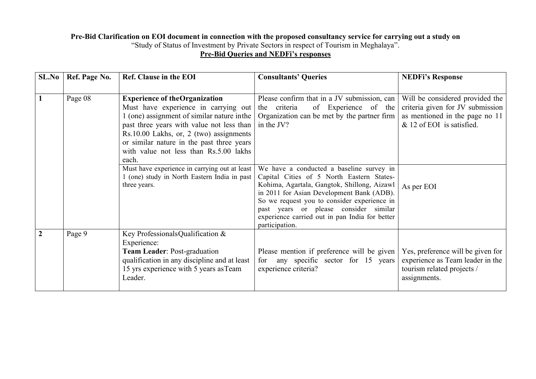## Pre-Bid Clarification on EOI document in connection with the proposed consultancy service for carrying out a study on "Study of Status of Investment by Private Sectors in respect of Tourism in Meghalaya". **Pre-Bid Queries and NEDFi's responses**

| SL.No          | Ref. Page No. | Ref. Clause in the EOI                                                                                                                                                                                                                                                                                              | <b>Consultants' Queries</b>                                                                                                                                                                                                                                                                                                                   | <b>NEDFi's Response</b>                                                                                                            |
|----------------|---------------|---------------------------------------------------------------------------------------------------------------------------------------------------------------------------------------------------------------------------------------------------------------------------------------------------------------------|-----------------------------------------------------------------------------------------------------------------------------------------------------------------------------------------------------------------------------------------------------------------------------------------------------------------------------------------------|------------------------------------------------------------------------------------------------------------------------------------|
|                | Page 08       | <b>Experience of theOrganization</b><br>Must have experience in carrying out<br>1 (one) assignment of similar nature in the<br>past three years with value not less than<br>Rs.10.00 Lakhs, or, 2 (two) assignments<br>or similar nature in the past three years<br>with value not less than Rs.5.00 lakhs<br>each. | Please confirm that in a JV submission, can<br>of Experience of the<br>the criteria<br>Organization can be met by the partner firm<br>in the JV?                                                                                                                                                                                              | Will be considered provided the<br>criteria given for JV submission<br>as mentioned in the page no 11<br>& 12 of EOI is satisfied. |
|                |               | Must have experience in carrying out at least<br>1 (one) study in North Eastern India in past<br>three years.                                                                                                                                                                                                       | We have a conducted a baseline survey in<br>Capital Cities of 5 North Eastern States-<br>Kohima, Agartala, Gangtok, Shillong, Aizawl<br>in 2011 for Asian Development Bank (ADB).<br>So we request you to consider experience in<br>past years or please consider similar<br>experience carried out in pan India for better<br>participation. | As per EOI                                                                                                                         |
| $\overline{2}$ | Page 9        | Key ProfessionalsQualification &<br>Experience:<br>Team Leader: Post-graduation<br>qualification in any discipline and at least<br>15 yrs experience with 5 years as Team<br>Leader.                                                                                                                                | Please mention if preference will be given<br>for any specific sector for 15 years<br>experience criteria?                                                                                                                                                                                                                                    | Yes, preference will be given for<br>experience as Team leader in the<br>tourism related projects /<br>assignments.                |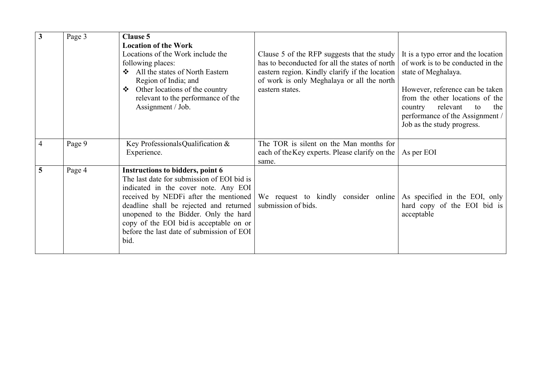| $\mathbf{3}$   | Page 3 | <b>Clause 5</b><br><b>Location of the Work</b>                                                                                                                                                                                                                                                                                                             |                                                                                                                                                                                                                  |                                                                                                                                                                                                                                                                            |
|----------------|--------|------------------------------------------------------------------------------------------------------------------------------------------------------------------------------------------------------------------------------------------------------------------------------------------------------------------------------------------------------------|------------------------------------------------------------------------------------------------------------------------------------------------------------------------------------------------------------------|----------------------------------------------------------------------------------------------------------------------------------------------------------------------------------------------------------------------------------------------------------------------------|
|                |        | Locations of the Work include the<br>following places:<br>All the states of North Eastern<br>$\mathbf{A}$<br>Region of India; and<br>Other locations of the country<br>$\ddot{\bullet}$<br>relevant to the performance of the<br>Assignment / Job.                                                                                                         | Clause 5 of the RFP suggests that the study<br>has to beconducted for all the states of north<br>eastern region. Kindly clarify if the location<br>of work is only Meghalaya or all the north<br>eastern states. | It is a typo error and the location<br>of work is to be conducted in the<br>state of Meghalaya.<br>However, reference can be taken<br>from the other locations of the<br>relevant<br>the<br>country<br>to<br>performance of the Assignment /<br>Job as the study progress. |
| $\overline{4}$ | Page 9 | Key ProfessionalsQualification &<br>Experience.                                                                                                                                                                                                                                                                                                            | The TOR is silent on the Man months for<br>each of the Key experts. Please clarify on the<br>same.                                                                                                               | As per EOI                                                                                                                                                                                                                                                                 |
| $\overline{5}$ | Page 4 | <b>Instructions to bidders, point 6</b><br>The last date for submission of EOI bid is<br>indicated in the cover note. Any EOI<br>received by NEDFi after the mentioned<br>deadline shall be rejected and returned<br>unopened to the Bidder. Only the hard<br>copy of the EOI bid is acceptable on or<br>before the last date of submission of EOI<br>bid. | We request to kindly consider online<br>submission of bids.                                                                                                                                                      | As specified in the EOI, only<br>hard copy of the EOI bid is<br>acceptable                                                                                                                                                                                                 |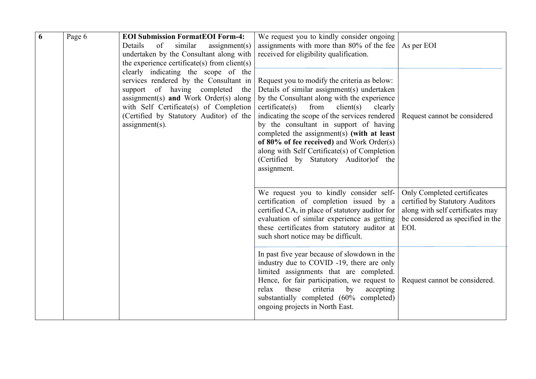| 6 | Page 6 | <b>EOI Submission FormatEOI Form-4:</b><br>of<br>similar<br>Details<br>assignment(s)<br>undertaken by the Consultant along with<br>the experience certificate(s) from client(s)                                                                                     | We request you to kindly consider ongoing<br>assignments with more than 80% of the fee $\vert$<br>received for eligibility qualification.                                                                                                                                                                                                                                                                                                                                                                                            | As per EOI                                                                                                                                      |
|---|--------|---------------------------------------------------------------------------------------------------------------------------------------------------------------------------------------------------------------------------------------------------------------------|--------------------------------------------------------------------------------------------------------------------------------------------------------------------------------------------------------------------------------------------------------------------------------------------------------------------------------------------------------------------------------------------------------------------------------------------------------------------------------------------------------------------------------------|-------------------------------------------------------------------------------------------------------------------------------------------------|
|   |        | clearly indicating the scope of the<br>services rendered by the Consultant in<br>support of having completed the<br>assignment(s) and Work Order(s) along<br>with Self Certificate(s) of Completion<br>(Certified by Statutory Auditor) of the<br>$assignment(s)$ . | Request you to modify the criteria as below:<br>Details of similar assignment(s) undertaken<br>by the Consultant along with the experience<br>$c$ ertificate $(s)$<br>from<br>client(s)<br>clearly<br>indicating the scope of the services rendered   Request cannot be considered<br>by the consultant in support of having<br>completed the assignment(s) (with at least<br>of $80\%$ of fee received) and Work Order(s)<br>along with Self Certificate(s) of Completion<br>(Certified by Statutory Auditor) of the<br>assignment. |                                                                                                                                                 |
|   |        |                                                                                                                                                                                                                                                                     | We request you to kindly consider self-<br>certification of completion issued by a<br>certified CA, in place of statutory auditor for<br>evaluation of similar experience as getting<br>these certificates from statutory auditor at<br>such short notice may be difficult.                                                                                                                                                                                                                                                          | Only Completed certificates<br>certified by Statutory Auditors<br>along with self certificates may<br>be considered as specified in the<br>EOI. |
|   |        |                                                                                                                                                                                                                                                                     | In past five year because of slowdown in the<br>industry due to COVID -19, there are only<br>limited assignments that are completed.<br>Hence, for fair participation, we request to $\vert$<br>relax<br>these<br>criteria<br>by<br>accepting<br>substantially completed (60% completed)<br>ongoing projects in North East.                                                                                                                                                                                                          | Request cannot be considered.                                                                                                                   |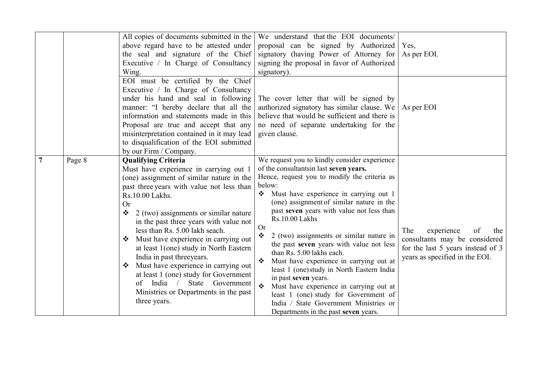|        | All copies of documents submitted in the<br>above regard have to be attested under<br>the seal and signature of the Chief<br>Executive / In Charge of Consultancy<br>Wing.<br>EOI must be certified by the Chief<br>Executive / In Charge of Consultancy<br>under his hand and seal in following<br>manner: "I hereby declare that all the<br>information and statements made in this<br>Proposal are true and accept that any<br>misinterpretation contained in it may lead<br>to disqualification of the EOI submitted<br>by our Firm / Company.                                                                         | We understand that the EOI documents/<br>proposal can be signed by Authorized<br>signatory (having Power of Attorney for<br>signing the proposal in favor of Authorized<br>signatory).<br>The cover letter that will be signed by<br>authorized signatory has similar clause. We<br>believe that would be sufficient and there is<br>no need of separate undertaking for the<br>given clause.                                                                                                                                                                                                                                                                                                                                              | Yes,<br>As per EOI.<br>As per EOI                                                                                                      |
|--------|----------------------------------------------------------------------------------------------------------------------------------------------------------------------------------------------------------------------------------------------------------------------------------------------------------------------------------------------------------------------------------------------------------------------------------------------------------------------------------------------------------------------------------------------------------------------------------------------------------------------------|--------------------------------------------------------------------------------------------------------------------------------------------------------------------------------------------------------------------------------------------------------------------------------------------------------------------------------------------------------------------------------------------------------------------------------------------------------------------------------------------------------------------------------------------------------------------------------------------------------------------------------------------------------------------------------------------------------------------------------------------|----------------------------------------------------------------------------------------------------------------------------------------|
| Page 8 | <b>Qualifying Criteria</b><br>Must have experience in carrying out 1<br>(one) assignment of similar nature in the<br>past three years with value not less than<br>Rs.10.00 Lakhs.<br><b>Or</b><br>2 (two) assignments or similar nature<br>❖<br>in the past three years with value not<br>less than Rs. 5.00 lakh seach.<br>Must have experience in carrying out<br>at least 1(one) study in North Eastern<br>India in past three years.<br>Must have experience in carrying out<br>❖<br>at least 1 (one) study for Government<br>India<br>State Government<br>of<br>Ministries or Departments in the past<br>three years. | We request you to kindly consider experience<br>of the consultantsin last seven years.<br>Hence, request you to modify the criteria as<br>below:<br>Must have experience in carrying out 1<br>(one) assignment of similar nature in the<br>past seven years with value not less than<br>Rs.10.00 Lakhs<br><b>Or</b><br>2 (two) assignments or similar nature in<br>the past seven years with value not less<br>than Rs. 5.00 lakhs each.<br>Must have experience in carrying out at<br>least 1 (one) study in North Eastern India<br>in past seven years.<br>$\cdot$<br>Must have experience in carrying out at<br>least 1 (one) study for Government of<br>India / State Government Ministries or<br>Departments in the past seven years. | experience<br>The<br>the<br>οf<br>consultants may be considered<br>for the last 5 years instead of 3<br>years as specified in the EOI. |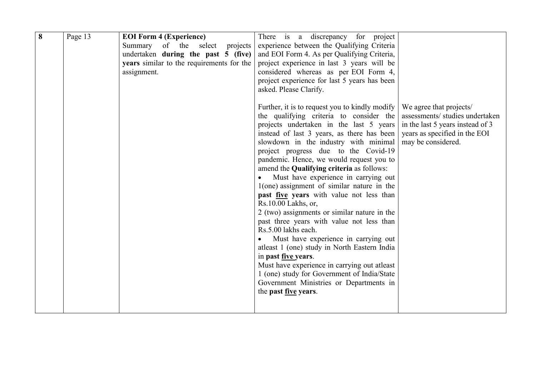| $\overline{\mathbf{8}}$ | Page 13 | <b>EOI Form 4 (Experience)</b><br>Summary of the select<br>projects<br>undertaken during the past 5 (five)<br>years similar to the requirements for the<br>assignment. | There is a discrepancy for project<br>experience between the Qualifying Criteria<br>and EOI Form 4. As per Qualifying Criteria,<br>project experience in last 3 years will be<br>considered whereas as per EOI Form 4,<br>project experience for last 5 years has been<br>asked. Please Clarify.<br>Further, it is to request you to kindly modify $\vert$<br>the qualifying criteria to consider the<br>projects undertaken in the last 5 years<br>instead of last 3 years, as there has been<br>slowdown in the industry with minimal<br>project progress due to the Covid-19<br>pandemic. Hence, we would request you to<br>amend the Qualifying criteria as follows:<br>Must have experience in carrying out<br>$1(one)$ assignment of similar nature in the<br>past five years with value not less than<br>Rs.10.00 Lakhs, or,<br>2 (two) assignments or similar nature in the<br>past three years with value not less than<br>Rs.5.00 lakhs each.<br>Must have experience in carrying out<br>atleast 1 (one) study in North Eastern India<br>in past <u>five</u> years.<br>Must have experience in carrying out atleast<br>1 (one) study for Government of India/State<br>Government Ministries or Departments in | We agree that projects/<br>assessments/ studies undertaken<br>in the last 5 years instead of 3<br>years as specified in the EOI<br>may be considered. |  |
|-------------------------|---------|------------------------------------------------------------------------------------------------------------------------------------------------------------------------|-------------------------------------------------------------------------------------------------------------------------------------------------------------------------------------------------------------------------------------------------------------------------------------------------------------------------------------------------------------------------------------------------------------------------------------------------------------------------------------------------------------------------------------------------------------------------------------------------------------------------------------------------------------------------------------------------------------------------------------------------------------------------------------------------------------------------------------------------------------------------------------------------------------------------------------------------------------------------------------------------------------------------------------------------------------------------------------------------------------------------------------------------------------------------------------------------------------------------|-------------------------------------------------------------------------------------------------------------------------------------------------------|--|
|                         |         |                                                                                                                                                                        | the past <u>five</u> years.                                                                                                                                                                                                                                                                                                                                                                                                                                                                                                                                                                                                                                                                                                                                                                                                                                                                                                                                                                                                                                                                                                                                                                                             |                                                                                                                                                       |  |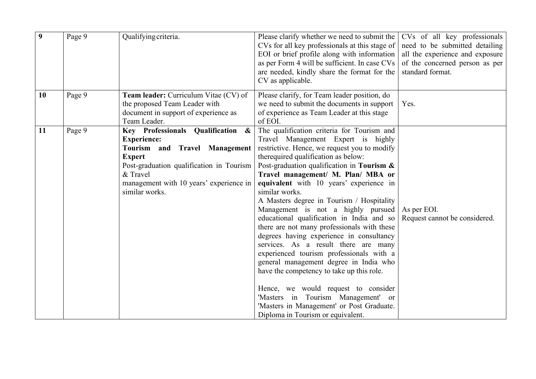| 9  | Page 9 | Qualifying criteria.                                                                                                                                                                                                           | Please clarify whether we need to submit the<br>CVs for all key professionals at this stage of<br>EOI or brief profile along with information<br>as per Form 4 will be sufficient. In case CVs<br>are needed, kindly share the format for the<br>CV as applicable.                                                                                                                                                                                                                                                                                                                                                                                                                                                                                                                                                                                                                               | CVs of all key professionals<br>need to be submitted detailing<br>all the experience and exposure<br>of the concerned person as per<br>standard format. |
|----|--------|--------------------------------------------------------------------------------------------------------------------------------------------------------------------------------------------------------------------------------|--------------------------------------------------------------------------------------------------------------------------------------------------------------------------------------------------------------------------------------------------------------------------------------------------------------------------------------------------------------------------------------------------------------------------------------------------------------------------------------------------------------------------------------------------------------------------------------------------------------------------------------------------------------------------------------------------------------------------------------------------------------------------------------------------------------------------------------------------------------------------------------------------|---------------------------------------------------------------------------------------------------------------------------------------------------------|
| 10 | Page 9 | <b>Team leader:</b> Curriculum Vitae (CV) of<br>the proposed Team Leader with<br>document in support of experience as<br>Team Leader.                                                                                          | Please clarify, for Team leader position, do<br>we need to submit the documents in support<br>of experience as Team Leader at this stage<br>of EOI.                                                                                                                                                                                                                                                                                                                                                                                                                                                                                                                                                                                                                                                                                                                                              | Yes.                                                                                                                                                    |
| 11 | Page 9 | Key Professionals Qualification &<br><b>Experience:</b><br>Tourism and Travel Management<br><b>Expert</b><br>Post-graduation qualification in Tourism<br>& Travel<br>management with 10 years' experience in<br>similar works. | The qualification criteria for Tourism and<br>Travel Management Expert is highly<br>restrictive. Hence, we request you to modify<br>therequired qualification as below:<br>Post-graduation qualification in Tourism $\&$<br>Travel management/ M. Plan/ MBA or<br>equivalent with 10 years' experience in<br>similar works.<br>A Masters degree in Tourism / Hospitality<br>Management is not a highly pursued<br>educational qualification in India and so<br>there are not many professionals with these<br>degrees having experience in consultancy<br>services. As a result there are many<br>experienced tourism professionals with a<br>general management degree in India who<br>have the competency to take up this role.<br>Hence, we would request to consider<br>'Masters in Tourism Management' or<br>'Masters in Management' or Post Graduate.<br>Diploma in Tourism or equivalent. | As per EOI.<br>Request cannot be considered.                                                                                                            |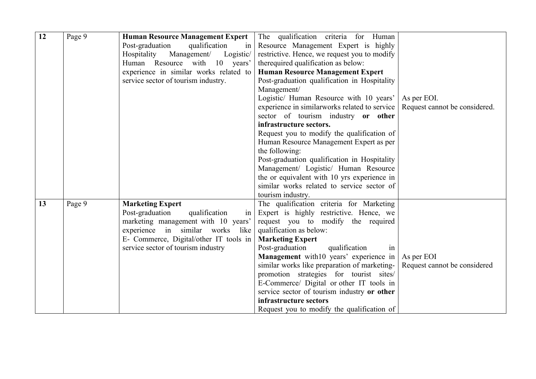| 12 | Page 9 | <b>Human Resource Management Expert</b> | The qualification criteria for Human                              |                               |
|----|--------|-----------------------------------------|-------------------------------------------------------------------|-------------------------------|
|    |        | Post-graduation<br>qualification<br>1n  | Resource Management Expert is highly                              |                               |
|    |        | Hospitality<br>Management/<br>Logistic/ | restrictive. Hence, we request you to modify                      |                               |
|    |        | Human Resource with 10 years'           | therequired qualification as below:                               |                               |
|    |        | experience in similar works related to  | <b>Human Resource Management Expert</b>                           |                               |
|    |        | service sector of tourism industry.     | Post-graduation qualification in Hospitality                      |                               |
|    |        |                                         | Management/                                                       |                               |
|    |        |                                         | Logistic/ Human Resource with 10 years'                           | As per EOI.                   |
|    |        |                                         | experience in similar works related to service                    | Request cannot be considered. |
|    |        |                                         | sector of tourism industry or other                               |                               |
|    |        |                                         | infrastructure sectors.                                           |                               |
|    |        |                                         | Request you to modify the qualification of                        |                               |
|    |        |                                         | Human Resource Management Expert as per                           |                               |
|    |        |                                         | the following:                                                    |                               |
|    |        |                                         | Post-graduation qualification in Hospitality                      |                               |
|    |        |                                         | Management/ Logistic/ Human Resource                              |                               |
|    |        |                                         | the or equivalent with 10 yrs experience in                       |                               |
|    |        |                                         | similar works related to service sector of                        |                               |
|    |        |                                         | tourism industry.                                                 |                               |
| 13 | Page 9 | <b>Marketing Expert</b>                 | The qualification criteria for Marketing                          |                               |
|    |        | Post-graduation<br>qualification<br>in  | Expert is highly restrictive. Hence, we                           |                               |
|    |        | marketing management with 10 years'     | request you to modify the required                                |                               |
|    |        | experience in similar works like        | qualification as below:                                           |                               |
|    |        | E- Commerce, Digital/other IT tools in  | <b>Marketing Expert</b>                                           |                               |
|    |        | service sector of tourism industry      | Post-graduation<br>qualification<br>1n                            |                               |
|    |        |                                         | <b>Management</b> with 10 years' experience in $\vert$ As per EOI |                               |
|    |        |                                         | similar works like preparation of marketing-                      | Request cannot be considered  |
|    |        |                                         | promotion strategies for tourist sites/                           |                               |
|    |        |                                         | E-Commerce/ Digital or other IT tools in                          |                               |
|    |        |                                         | service sector of tourism industry or other                       |                               |
|    |        |                                         | infrastructure sectors                                            |                               |
|    |        |                                         | Request you to modify the qualification of                        |                               |